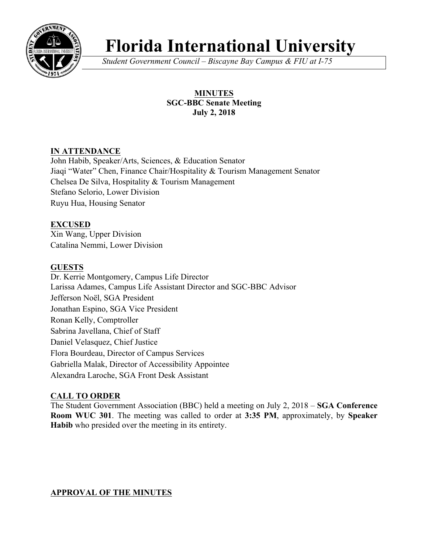

# **Florida International University**

*Student Government Council – Biscayne Bay Campus & FIU at I-75*

# **MINUTES SGC-BBC Senate Meeting July 2, 2018**

# **IN ATTENDANCE**

John Habib, Speaker/Arts, Sciences, & Education Senator Jiaqi "Water" Chen, Finance Chair/Hospitality & Tourism Management Senator Chelsea De Silva, Hospitality & Tourism Management Stefano Selorio, Lower Division Ruyu Hua, Housing Senator

# **EXCUSED**

Xin Wang, Upper Division Catalina Nemmi, Lower Division

#### **GUESTS**

Dr. Kerrie Montgomery, Campus Life Director Larissa Adames, Campus Life Assistant Director and SGC-BBC Advisor Jefferson Noël, SGA President Jonathan Espino, SGA Vice President Ronan Kelly, Comptroller Sabrina Javellana, Chief of Staff Daniel Velasquez, Chief Justice Flora Bourdeau, Director of Campus Services Gabriella Malak, Director of Accessibility Appointee Alexandra Laroche, SGA Front Desk Assistant

# **CALL TO ORDER**

The Student Government Association (BBC) held a meeting on July 2, 2018 – **SGA Conference Room WUC 301**. The meeting was called to order at **3:35 PM**, approximately, by **Speaker Habib** who presided over the meeting in its entirety.

#### **APPROVAL OF THE MINUTES**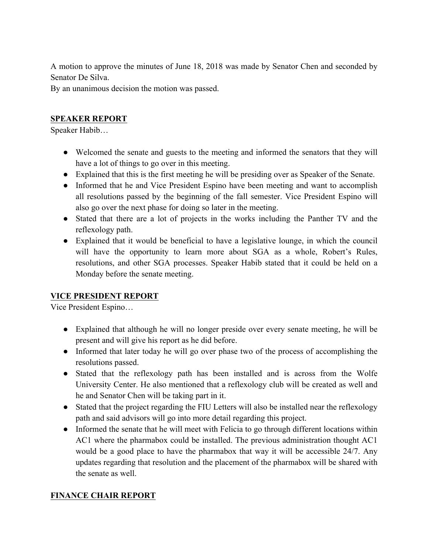A motion to approve the minutes of June 18, 2018 was made by Senator Chen and seconded by Senator De Silva.

By an unanimous decision the motion was passed.

# **SPEAKER REPORT**

Speaker Habib…

- Welcomed the senate and guests to the meeting and informed the senators that they will have a lot of things to go over in this meeting.
- Explained that this is the first meeting he will be presiding over as Speaker of the Senate.
- Informed that he and Vice President Espino have been meeting and want to accomplish all resolutions passed by the beginning of the fall semester. Vice President Espino will also go over the next phase for doing so later in the meeting.
- Stated that there are a lot of projects in the works including the Panther TV and the reflexology path.
- Explained that it would be beneficial to have a legislative lounge, in which the council will have the opportunity to learn more about SGA as a whole, Robert's Rules, resolutions, and other SGA processes. Speaker Habib stated that it could be held on a Monday before the senate meeting.

# **VICE PRESIDENT REPORT**

Vice President Espino…

- Explained that although he will no longer preside over every senate meeting, he will be present and will give his report as he did before.
- Informed that later today he will go over phase two of the process of accomplishing the resolutions passed.
- Stated that the reflexology path has been installed and is across from the Wolfe University Center. He also mentioned that a reflexology club will be created as well and he and Senator Chen will be taking part in it.
- Stated that the project regarding the FIU Letters will also be installed near the reflexology path and said advisors will go into more detail regarding this project.
- Informed the senate that he will meet with Felicia to go through different locations within AC1 where the pharmabox could be installed. The previous administration thought AC1 would be a good place to have the pharmabox that way it will be accessible 24/7. Any updates regarding that resolution and the placement of the pharmabox will be shared with the senate as well.

# **FINANCE CHAIR REPORT**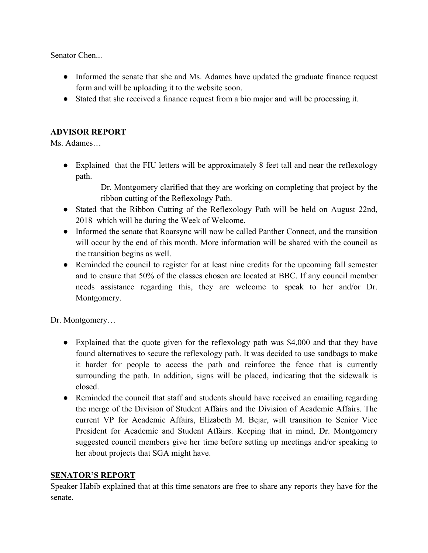Senator Chen...

- Informed the senate that she and Ms. Adames have updated the graduate finance request form and will be uploading it to the website soon.
- Stated that she received a finance request from a bio major and will be processing it.

# **ADVISOR REPORT**

Ms. Adames…

• Explained that the FIU letters will be approximately 8 feet tall and near the reflexology path.

> Dr. Montgomery clarified that they are working on completing that project by the ribbon cutting of the Reflexology Path.

- Stated that the Ribbon Cutting of the Reflexology Path will be held on August 22nd, 2018–which will be during the Week of Welcome.
- Informed the senate that Roarsync will now be called Panther Connect, and the transition will occur by the end of this month. More information will be shared with the council as the transition begins as well.
- Reminded the council to register for at least nine credits for the upcoming fall semester and to ensure that 50% of the classes chosen are located at BBC. If any council member needs assistance regarding this, they are welcome to speak to her and/or Dr. Montgomery.

Dr. Montgomery…

- Explained that the quote given for the reflexology path was \$4,000 and that they have found alternatives to secure the reflexology path. It was decided to use sandbags to make it harder for people to access the path and reinforce the fence that is currently surrounding the path. In addition, signs will be placed, indicating that the sidewalk is closed.
- Reminded the council that staff and students should have received an emailing regarding the merge of the Division of Student Affairs and the Division of Academic Affairs. The current VP for Academic Affairs, Elizabeth M. Bejar, will transition to Senior Vice President for Academic and Student Affairs. Keeping that in mind, Dr. Montgomery suggested council members give her time before setting up meetings and/or speaking to her about projects that SGA might have.

# **SENATOR'S REPORT**

Speaker Habib explained that at this time senators are free to share any reports they have for the senate.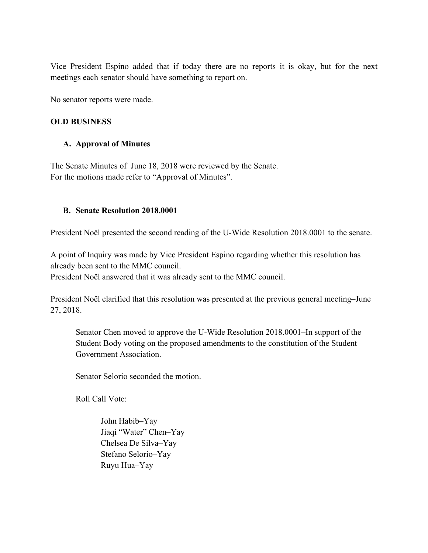Vice President Espino added that if today there are no reports it is okay, but for the next meetings each senator should have something to report on.

No senator reports were made.

#### **OLD BUSINESS**

#### **A. Approval of Minutes**

The Senate Minutes of June 18, 2018 were reviewed by the Senate. For the motions made refer to "Approval of Minutes".

#### **B. Senate Resolution 2018.0001**

President Noël presented the second reading of the U-Wide Resolution 2018.0001 to the senate.

A point of Inquiry was made by Vice President Espino regarding whether this resolution has already been sent to the MMC council.

President Noël answered that it was already sent to the MMC council.

President Noël clarified that this resolution was presented at the previous general meeting–June 27, 2018.

Senator Chen moved to approve the U-Wide Resolution 2018.0001–In support of the Student Body voting on the proposed amendments to the constitution of the Student Government Association.

Senator Selorio seconded the motion.

Roll Call Vote:

John Habib–Yay Jiaqi "Water" Chen–Yay Chelsea De Silva–Yay Stefano Selorio–Yay Ruyu Hua–Yay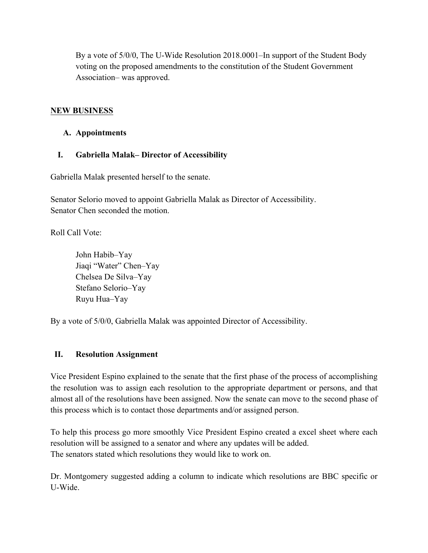By a vote of 5/0/0, The U-Wide Resolution 2018.0001–In support of the Student Body voting on the proposed amendments to the constitution of the Student Government Association– was approved.

#### **NEW BUSINESS**

#### **A. Appointments**

#### **I. Gabriella Malak– Director of Accessibility**

Gabriella Malak presented herself to the senate.

Senator Selorio moved to appoint Gabriella Malak as Director of Accessibility. Senator Chen seconded the motion.

Roll Call Vote:

John Habib–Yay Jiaqi "Water" Chen–Yay Chelsea De Silva–Yay Stefano Selorio–Yay Ruyu Hua–Yay

By a vote of 5/0/0, Gabriella Malak was appointed Director of Accessibility.

#### **II. Resolution Assignment**

Vice President Espino explained to the senate that the first phase of the process of accomplishing the resolution was to assign each resolution to the appropriate department or persons, and that almost all of the resolutions have been assigned. Now the senate can move to the second phase of this process which is to contact those departments and/or assigned person.

To help this process go more smoothly Vice President Espino created a excel sheet where each resolution will be assigned to a senator and where any updates will be added. The senators stated which resolutions they would like to work on.

Dr. Montgomery suggested adding a column to indicate which resolutions are BBC specific or U-Wide.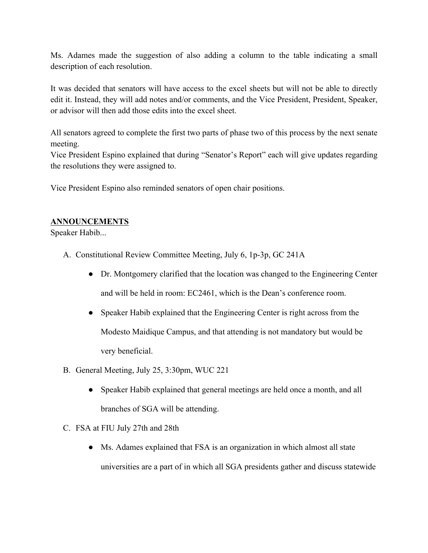Ms. Adames made the suggestion of also adding a column to the table indicating a small description of each resolution.

It was decided that senators will have access to the excel sheets but will not be able to directly edit it. Instead, they will add notes and/or comments, and the Vice President, President, Speaker, or advisor will then add those edits into the excel sheet.

All senators agreed to complete the first two parts of phase two of this process by the next senate meeting.

Vice President Espino explained that during "Senator's Report" each will give updates regarding the resolutions they were assigned to.

Vice President Espino also reminded senators of open chair positions.

#### **ANNOUNCEMENTS**

Speaker Habib...

- A. Constitutional Review Committee Meeting, July 6, 1p-3p, GC 241A
	- Dr. Montgomery clarified that the location was changed to the Engineering Center and will be held in room: EC2461, which is the Dean's conference room.
	- Speaker Habib explained that the Engineering Center is right across from the Modesto Maidique Campus, and that attending is not mandatory but would be very beneficial.
- B. General Meeting, July 25, 3:30pm, WUC 221
	- Speaker Habib explained that general meetings are held once a month, and all branches of SGA will be attending.
- C. FSA at FIU July 27th and 28th
	- Ms. Adames explained that FSA is an organization in which almost all state universities are a part of in which all SGA presidents gather and discuss statewide